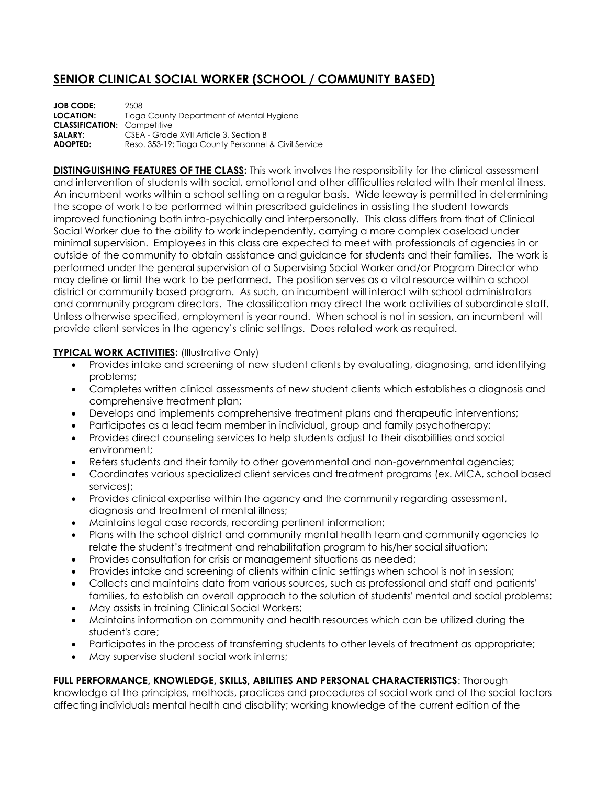## **SENIOR CLINICAL SOCIAL WORKER (SCHOOL / COMMUNITY BASED)**

| <b>JOB CODE:</b>                   | 2508                                                 |
|------------------------------------|------------------------------------------------------|
| LOCATION:                          | Tioga County Department of Mental Hygiene            |
| <b>CLASSIFICATION: Competitive</b> |                                                      |
| SALARY:                            | CSEA - Grade XVII Article 3, Section B               |
| <b>ADOPTED:</b>                    | Reso, 353-19; Tioga County Personnel & Civil Service |

**DISTINGUISHING FEATURES OF THE CLASS:** This work involves the responsibility for the clinical assessment and intervention of students with social, emotional and other difficulties related with their mental illness. An incumbent works within a school setting on a regular basis. Wide leeway is permitted in determining the scope of work to be performed within prescribed guidelines in assisting the student towards improved functioning both intra-psychically and interpersonally. This class differs from that of Clinical Social Worker due to the ability to work independently, carrying a more complex caseload under minimal supervision. Employees in this class are expected to meet with professionals of agencies in or outside of the community to obtain assistance and guidance for students and their families. The work is performed under the general supervision of a Supervising Social Worker and/or Program Director who may define or limit the work to be performed. The position serves as a vital resource within a school district or community based program. As such, an incumbent will interact with school administrators and community program directors. The classification may direct the work activities of subordinate staff. Unless otherwise specified, employment is year round. When school is not in session, an incumbent will provide client services in the agency's clinic settings. Does related work as required.

## **TYPICAL WORK ACTIVITIES:** (Illustrative Only)

- Provides intake and screening of new student clients by evaluating, diagnosing, and identifying problems;
- Completes written clinical assessments of new student clients which establishes a diagnosis and comprehensive treatment plan;
- Develops and implements comprehensive treatment plans and therapeutic interventions;
- Participates as a lead team member in individual, group and family psychotherapy;
- Provides direct counseling services to help students adjust to their disabilities and social environment;
- Refers students and their family to other governmental and non-governmental agencies;
- Coordinates various specialized client services and treatment programs (ex. MICA, school based services);
- Provides clinical expertise within the agency and the community regarding assessment, diagnosis and treatment of mental illness;
- Maintains legal case records, recording pertinent information;
- Plans with the school district and community mental health team and community agencies to relate the student's treatment and rehabilitation program to his/her social situation;
- Provides consultation for crisis or management situations as needed;
- Provides intake and screening of clients within clinic settings when school is not in session;
- Collects and maintains data from various sources, such as professional and staff and patients' families, to establish an overall approach to the solution of students' mental and social problems;
- May assists in training Clinical Social Workers;
- Maintains information on community and health resources which can be utilized during the student's care;
- Participates in the process of transferring students to other levels of treatment as appropriate;
- May supervise student social work interns;

## **FULL PERFORMANCE, KNOWLEDGE, SKILLS, ABILITIES AND PERSONAL CHARACTERISTICS**: Thorough

knowledge of the principles, methods, practices and procedures of social work and of the social factors affecting individuals mental health and disability; working knowledge of the current edition of the